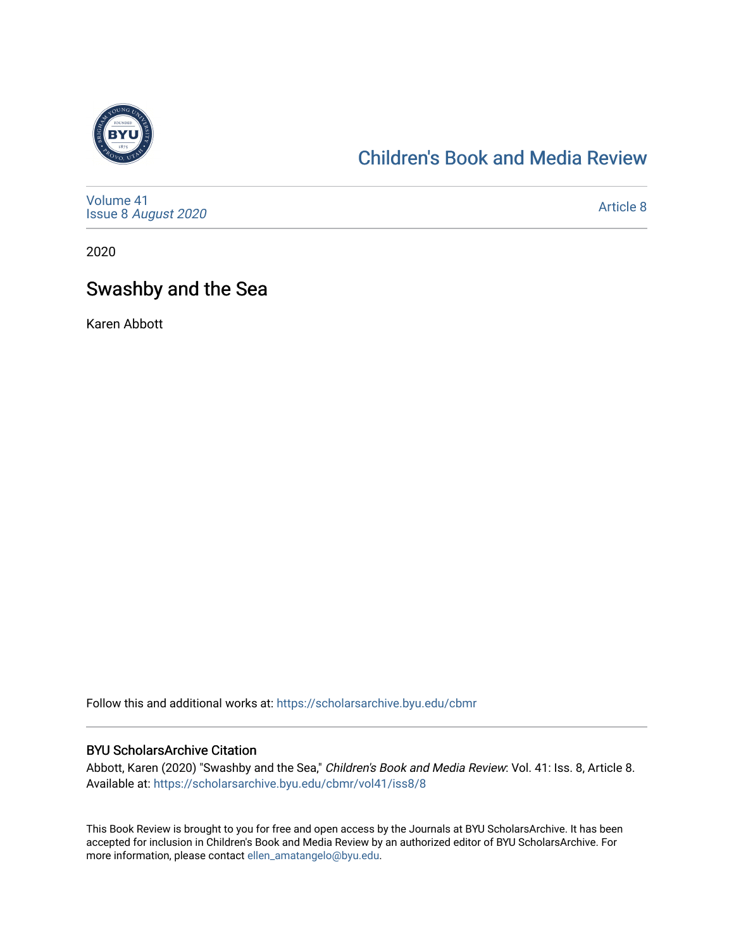

### [Children's Book and Media Review](https://scholarsarchive.byu.edu/cbmr)

[Volume 41](https://scholarsarchive.byu.edu/cbmr/vol41) Issue 8 [August 2020](https://scholarsarchive.byu.edu/cbmr/vol41/iss8) 

[Article 8](https://scholarsarchive.byu.edu/cbmr/vol41/iss8/8) 

2020

### Swashby and the Sea

Karen Abbott

Follow this and additional works at: [https://scholarsarchive.byu.edu/cbmr](https://scholarsarchive.byu.edu/cbmr?utm_source=scholarsarchive.byu.edu%2Fcbmr%2Fvol41%2Fiss8%2F8&utm_medium=PDF&utm_campaign=PDFCoverPages) 

#### BYU ScholarsArchive Citation

Abbott, Karen (2020) "Swashby and the Sea," Children's Book and Media Review: Vol. 41: Iss. 8, Article 8. Available at: [https://scholarsarchive.byu.edu/cbmr/vol41/iss8/8](https://scholarsarchive.byu.edu/cbmr/vol41/iss8/8?utm_source=scholarsarchive.byu.edu%2Fcbmr%2Fvol41%2Fiss8%2F8&utm_medium=PDF&utm_campaign=PDFCoverPages) 

This Book Review is brought to you for free and open access by the Journals at BYU ScholarsArchive. It has been accepted for inclusion in Children's Book and Media Review by an authorized editor of BYU ScholarsArchive. For more information, please contact [ellen\\_amatangelo@byu.edu.](mailto:ellen_amatangelo@byu.edu)